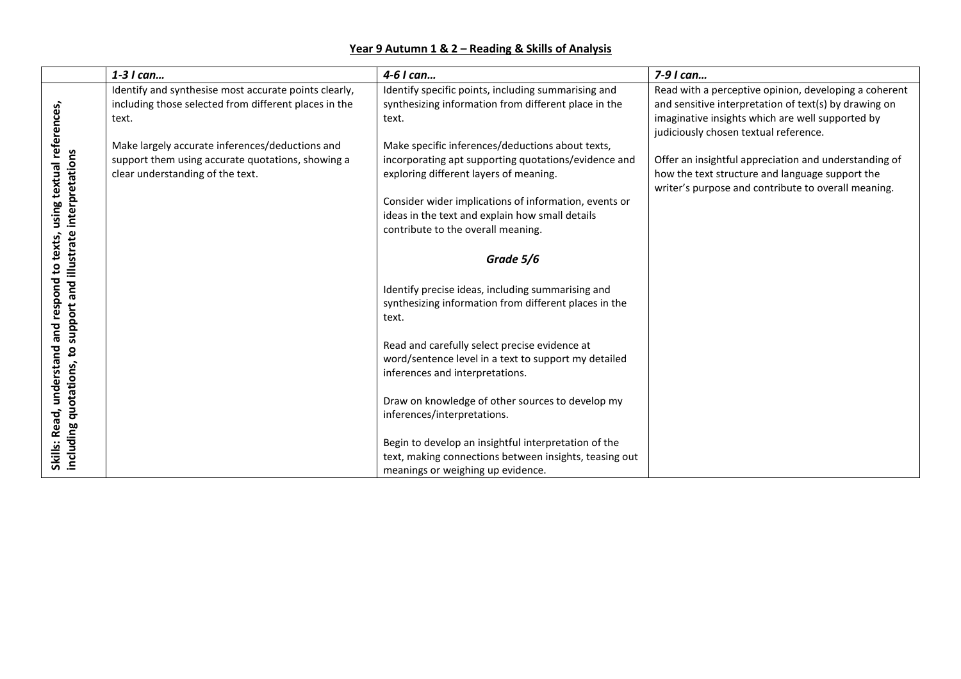## **Year 9 Autumn 1 & 2 – Reading & Skills of Analysis**

|                                                                     | 1-3 I can                                                                                                                                | 4-6 I can                                                                                                                                                                                                                                                      | 7-9 I can                                                                                                                                                                                                   |
|---------------------------------------------------------------------|------------------------------------------------------------------------------------------------------------------------------------------|----------------------------------------------------------------------------------------------------------------------------------------------------------------------------------------------------------------------------------------------------------------|-------------------------------------------------------------------------------------------------------------------------------------------------------------------------------------------------------------|
| using textual references,<br>support and illustrate interpretations | Identify and synthesise most accurate points clearly,<br>including those selected from different places in the<br>text.                  | Identify specific points, including summarising and<br>synthesizing information from different place in the<br>text.                                                                                                                                           | Read with a perceptive opinion, developing a coherent<br>and sensitive interpretation of text(s) by drawing on<br>imaginative insights which are well supported by<br>judiciously chosen textual reference. |
|                                                                     | Make largely accurate inferences/deductions and<br>support them using accurate quotations, showing a<br>clear understanding of the text. | Make specific inferences/deductions about texts,<br>incorporating apt supporting quotations/evidence and<br>exploring different layers of meaning.<br>Consider wider implications of information, events or<br>ideas in the text and explain how small details | Offer an insightful appreciation and understanding of<br>how the text structure and language support the<br>writer's purpose and contribute to overall meaning.                                             |
| texts,                                                              |                                                                                                                                          | contribute to the overall meaning.                                                                                                                                                                                                                             |                                                                                                                                                                                                             |
| ς,                                                                  |                                                                                                                                          | Grade 5/6                                                                                                                                                                                                                                                      |                                                                                                                                                                                                             |
| and respond                                                         |                                                                                                                                          | Identify precise ideas, including summarising and<br>synthesizing information from different places in the<br>text.                                                                                                                                            |                                                                                                                                                                                                             |
| understand                                                          |                                                                                                                                          | Read and carefully select precise evidence at<br>word/sentence level in a text to support my detailed<br>inferences and interpretations.                                                                                                                       |                                                                                                                                                                                                             |
| including quotations, to                                            |                                                                                                                                          | Draw on knowledge of other sources to develop my<br>inferences/interpretations.                                                                                                                                                                                |                                                                                                                                                                                                             |
| Skills: Read,                                                       |                                                                                                                                          | Begin to develop an insightful interpretation of the<br>text, making connections between insights, teasing out<br>meanings or weighing up evidence.                                                                                                            |                                                                                                                                                                                                             |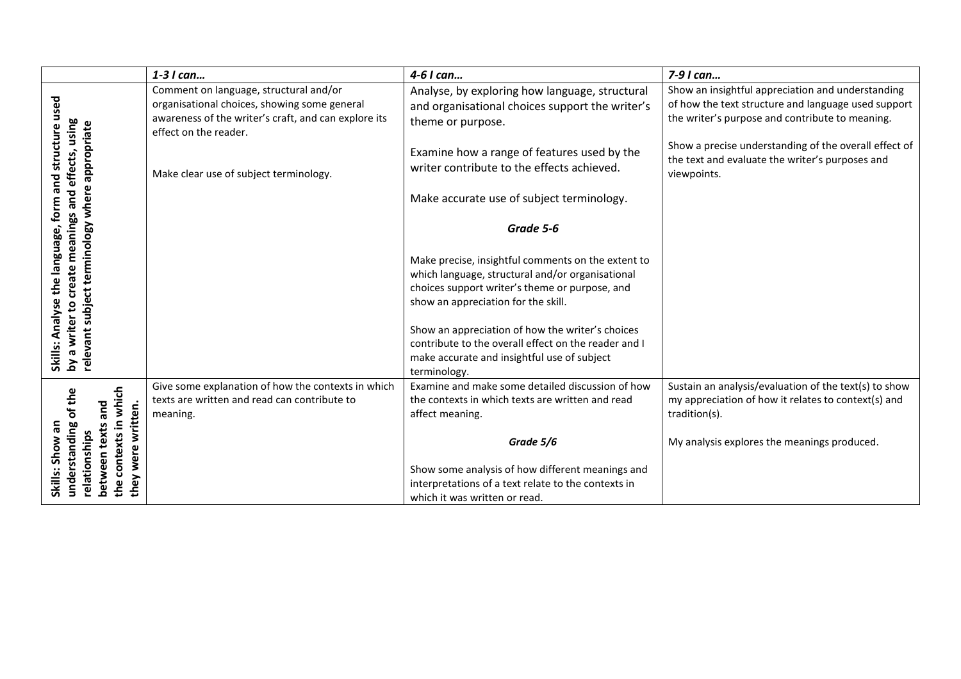|                                                                                                                                   | 1-3 I can                                                                                                                                                               | 4-6 I can                                                                                                                                                               | 7-9 I can                                                                                                                                                   |
|-----------------------------------------------------------------------------------------------------------------------------------|-------------------------------------------------------------------------------------------------------------------------------------------------------------------------|-------------------------------------------------------------------------------------------------------------------------------------------------------------------------|-------------------------------------------------------------------------------------------------------------------------------------------------------------|
| structure used                                                                                                                    | Comment on language, structural and/or<br>organisational choices, showing some general<br>awareness of the writer's craft, and can explore its<br>effect on the reader. | Analyse, by exploring how language, structural<br>and organisational choices support the writer's<br>theme or purpose.                                                  | Show an insightful appreciation and understanding<br>of how the text structure and language used support<br>the writer's purpose and contribute to meaning. |
| appropriate                                                                                                                       | Make clear use of subject terminology.                                                                                                                                  | Examine how a range of features used by the<br>writer contribute to the effects achieved.                                                                               | Show a precise understanding of the overall effect of<br>the text and evaluate the writer's purposes and<br>viewpoints.                                     |
|                                                                                                                                   |                                                                                                                                                                         | Make accurate use of subject terminology.                                                                                                                               |                                                                                                                                                             |
|                                                                                                                                   |                                                                                                                                                                         | Grade 5-6                                                                                                                                                               |                                                                                                                                                             |
|                                                                                                                                   |                                                                                                                                                                         | Make precise, insightful comments on the extent to<br>which language, structural and/or organisational                                                                  |                                                                                                                                                             |
|                                                                                                                                   |                                                                                                                                                                         | choices support writer's theme or purpose, and<br>show an appreciation for the skill.                                                                                   |                                                                                                                                                             |
| by a writer to create meanings and effects, using<br>Skills: Analyse the language, form and<br>relevant subject terminology where |                                                                                                                                                                         | Show an appreciation of how the writer's choices<br>contribute to the overall effect on the reader and I<br>make accurate and insightful use of subject<br>terminology. |                                                                                                                                                             |
|                                                                                                                                   | Give some explanation of how the contexts in which<br>texts are written and read can contribute to                                                                      | Examine and make some detailed discussion of how<br>the contexts in which texts are written and read                                                                    | Sustain an analysis/evaluation of the text(s) to show<br>my appreciation of how it relates to context(s) and                                                |
| and<br>written.                                                                                                                   | meaning.                                                                                                                                                                | affect meaning.                                                                                                                                                         | tradition(s).                                                                                                                                               |
| $\omega$                                                                                                                          |                                                                                                                                                                         | Grade 5/6                                                                                                                                                               | My analysis explores the meanings produced.                                                                                                                 |
| the contexts in which<br>understanding of the<br>Skills: Show an<br>between texts<br>relationships<br>wer<br>they                 |                                                                                                                                                                         | Show some analysis of how different meanings and<br>interpretations of a text relate to the contexts in<br>which it was written or read.                                |                                                                                                                                                             |